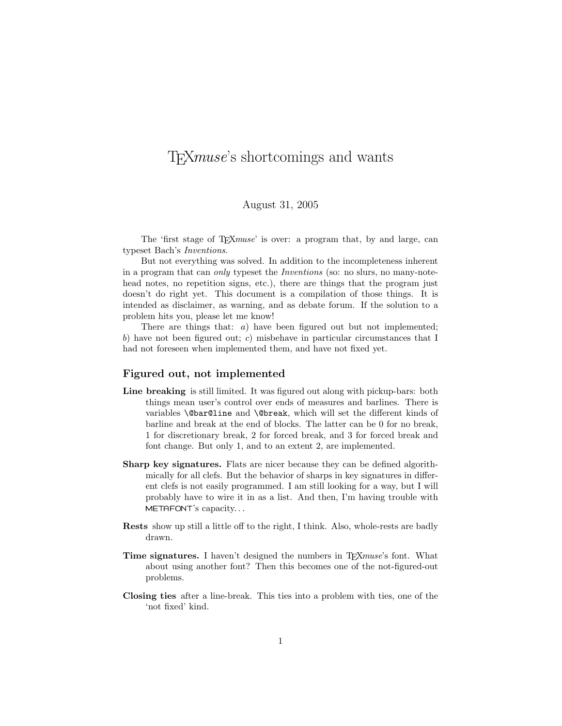# TEXmuse's shortcomings and wants

## August 31, 2005

The 'first stage of T<sub>E</sub>Xmuse' is over: a program that, by and large, can typeset Bach's Inventions.

But not everything was solved. In addition to the incompleteness inherent in a program that can only typeset the Inventions (so: no slurs, no many-notehead notes, no repetition signs, etc.), there are things that the program just doesn't do right yet. This document is a compilation of those things. It is intended as disclaimer, as warning, and as debate forum. If the solution to a problem hits you, please let me know!

There are things that: *a*) have been figured out but not implemented; b) have not been figured out; c) misbehave in particular circumstances that I had not foreseen when implemented them, and have not fixed yet.

#### Figured out, not implemented

- Line breaking is still limited. It was figured out along with pickup-bars: both things mean user's control over ends of measures and barlines. There is variables \@bar@line and \@break, which will set the different kinds of barline and break at the end of blocks. The latter can be 0 for no break, 1 for discretionary break, 2 for forced break, and 3 for forced break and font change. But only 1, and to an extent 2, are implemented.
- Sharp key signatures. Flats are nicer because they can be defined algorithmically for all clefs. But the behavior of sharps in key signatures in different clefs is not easily programmed. I am still looking for a way, but I will probably have to wire it in as a list. And then, I'm having trouble with METAFONT's capacity. . .
- Rests show up still a little off to the right, I think. Also, whole-rests are badly drawn.
- Time signatures. I haven't designed the numbers in T<sub>F</sub>Xmuse's font. What about using another font? Then this becomes one of the not-figured-out problems.
- Closing ties after a line-break. This ties into a problem with ties, one of the 'not fixed' kind.